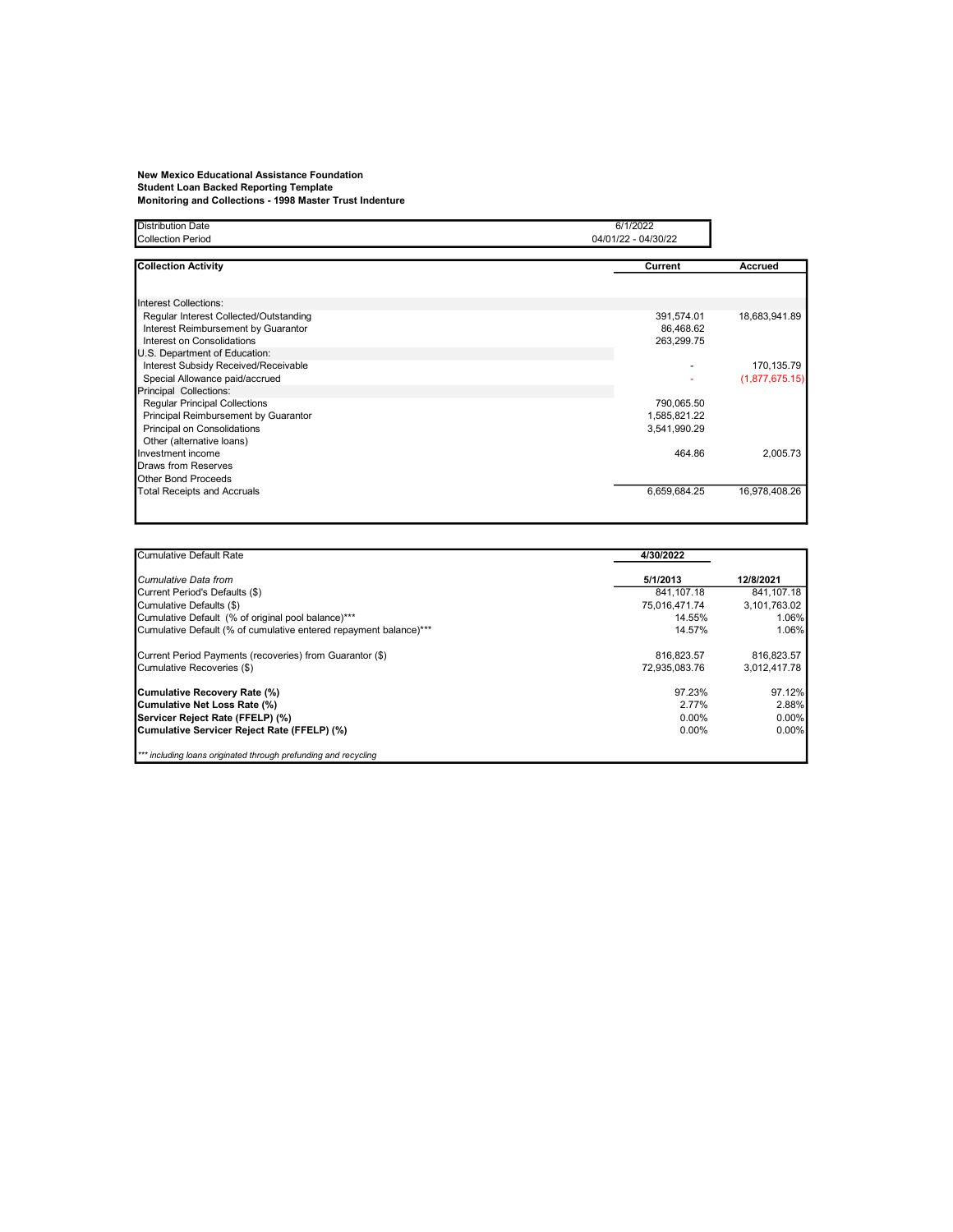## New Mexico Educational Assistance Foundation Student Loan Backed Reporting Template Monitoring and Collections - 1998 Master Trust Indenture

| <b>Distribution Date</b><br><b>Collection Period</b>                                                                                         | 6/1/2022<br>04/01/22 - 04/30/22            |                              |  |
|----------------------------------------------------------------------------------------------------------------------------------------------|--------------------------------------------|------------------------------|--|
| <b>Collection Activity</b>                                                                                                                   | Current                                    | <b>Accrued</b>               |  |
| Interest Collections:                                                                                                                        |                                            |                              |  |
| Regular Interest Collected/Outstanding<br>Interest Reimbursement by Guarantor<br>Interest on Consolidations<br>U.S. Department of Education: | 391,574.01<br>86,468.62<br>263,299.75      | 18,683,941.89                |  |
| Interest Subsidy Received/Receivable<br>Special Allowance paid/accrued<br>Principal Collections:                                             |                                            | 170,135.79<br>(1,877,675.15) |  |
| <b>Reqular Principal Collections</b><br>Principal Reimbursement by Guarantor<br>Principal on Consolidations<br>Other (alternative loans)     | 790,065.50<br>1,585,821.22<br>3,541,990.29 |                              |  |
| Investment income<br><b>Draws from Reserves</b><br>Other Bond Proceeds                                                                       | 464.86                                     | 2,005.73                     |  |
| <b>Total Receipts and Accruals</b>                                                                                                           | 6,659,684.25                               | 16,978,408.26                |  |

| <b>Cumulative Default Rate</b>                                    | 4/30/2022     |              |
|-------------------------------------------------------------------|---------------|--------------|
| Cumulative Data from                                              | 5/1/2013      | 12/8/2021    |
| Current Period's Defaults (\$)                                    | 841.107.18    | 841.107.18   |
| Cumulative Defaults (\$)                                          | 75.016.471.74 | 3.101.763.02 |
| Cumulative Default (% of original pool balance)***                | 14.55%        | 1.06%        |
| Cumulative Default (% of cumulative entered repayment balance)*** | 14.57%        | 1.06%        |
| Current Period Payments (recoveries) from Guarantor (\$)          | 816.823.57    | 816.823.57   |
| Cumulative Recoveries (\$)                                        | 72.935.083.76 | 3.012.417.78 |
| Cumulative Recovery Rate (%)                                      | 97.23%        | 97.12%       |
| Cumulative Net Loss Rate (%)                                      | 2.77%         | 2.88%        |
| Servicer Reject Rate (FFELP) (%)                                  | $0.00\%$      | $0.00\%$     |
| Cumulative Servicer Reject Rate (FFELP) (%)                       | $0.00\%$      | $0.00\%$     |
| *** including loans originated through prefunding and recycling   |               |              |